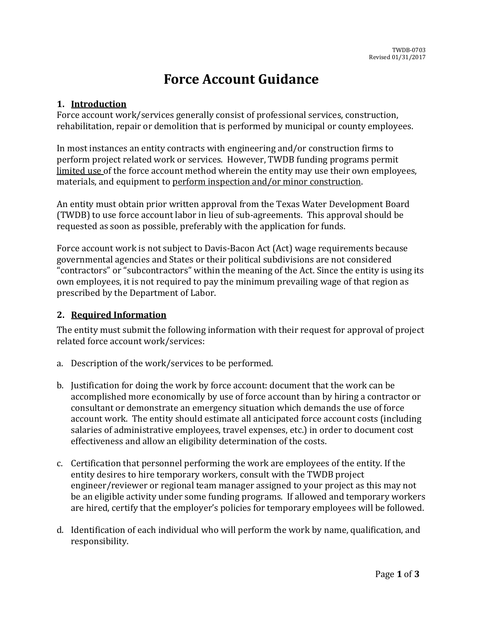# **Force Account Guidance**

#### **1. Introduction**

Force account work/services generally consist of professional services, construction, rehabilitation, repair or demolition that is performed by municipal or county employees.

In most instances an entity contracts with engineering and/or construction firms to perform project related work or services. However, TWDB funding programs permit limited use of the force account method wherein the entity may use their own employees, materials, and equipment to perform inspection and/or minor construction.

An entity must obtain prior written approval from the Texas Water Development Board (TWDB) to use force account labor in lieu of sub-agreements. This approval should be requested as soon as possible, preferably with the application for funds.

Force account work is not subject to Davis-Bacon Act (Act) wage requirements because governmental agencies and States or their political subdivisions are not considered "contractors" or "subcontractors" within the meaning of the Act. Since the entity is using its own employees, it is not required to pay the minimum prevailing wage of that region as prescribed by the Department of Labor.

### **2. Required Information**

The entity must submit the following information with their request for approval of project related force account work/services:

- a. Description of the work/services to be performed.
- b. Justification for doing the work by force account: document that the work can be accomplished more economically by use of force account than by hiring a contractor or consultant or demonstrate an emergency situation which demands the use of force account work. The entity should estimate all anticipated force account costs (including salaries of administrative employees, travel expenses, etc.) in order to document cost effectiveness and allow an eligibility determination of the costs.
- c. Certification that personnel performing the work are employees of the entity. If the entity desires to hire temporary workers, consult with the TWDB project engineer/reviewer or regional team manager assigned to your project as this may not be an eligible activity under some funding programs. If allowed and temporary workers are hired, certify that the employer's policies for temporary employees will be followed.
- d. Identification of each individual who will perform the work by name, qualification, and responsibility.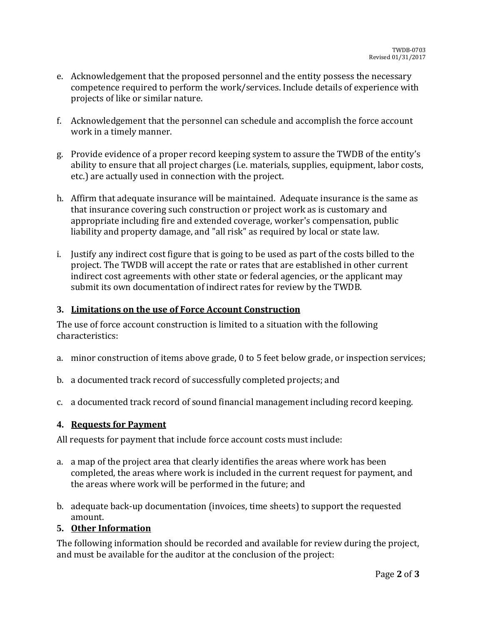- e. Acknowledgement that the proposed personnel and the entity possess the necessary competence required to perform the work/services. Include details of experience with projects of like or similar nature.
- f. Acknowledgement that the personnel can schedule and accomplish the force account work in a timely manner.
- g. Provide evidence of a proper record keeping system to assure the TWDB of the entity's ability to ensure that all project charges (i.e. materials, supplies, equipment, labor costs, etc.) are actually used in connection with the project.
- h. Affirm that adequate insurance will be maintained. Adequate insurance is the same as that insurance covering such construction or project work as is customary and appropriate including fire and extended coverage, worker's compensation, public liability and property damage, and "all risk" as required by local or state law.
- i. Justify any indirect cost figure that is going to be used as part of the costs billed to the project. The TWDB will accept the rate or rates that are established in other current indirect cost agreements with other state or federal agencies, or the applicant may submit its own documentation of indirect rates for review by the TWDB.

### **3. Limitations on the use of Force Account Construction**

The use of force account construction is limited to a situation with the following characteristics:

- a. minor construction of items above grade, 0 to 5 feet below grade, or inspection services;
- b. a documented track record of successfully completed projects; and
- c. a documented track record of sound financial management including record keeping.

#### **4. Requests for Payment**

All requests for payment that include force account costs must include:

- a. a map of the project area that clearly identifies the areas where work has been completed, the areas where work is included in the current request for payment, and the areas where work will be performed in the future; and
- b. adequate back-up documentation (invoices, time sheets) to support the requested amount.

## **5. Other Information**

The following information should be recorded and available for review during the project, and must be available for the auditor at the conclusion of the project: